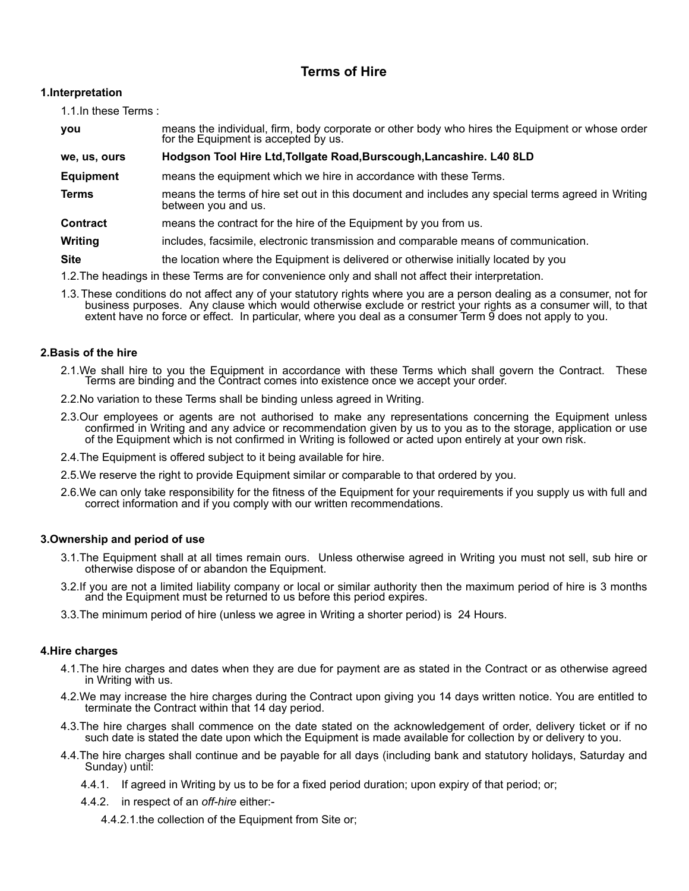# **Terms of Hire**

# **1.Interpretation**

1.1.In these Terms :

| you                                                                                                  | means the individual, firm, body corporate or other body who hires the Equipment or whose order<br>for the Equipment is accepted by us. |
|------------------------------------------------------------------------------------------------------|-----------------------------------------------------------------------------------------------------------------------------------------|
| we, us, ours                                                                                         | Hodgson Tool Hire Ltd, Tollgate Road, Burscough, Lancashire. L40 8LD                                                                    |
| <b>Equipment</b>                                                                                     | means the equipment which we hire in accordance with these Terms.                                                                       |
| <b>Terms</b>                                                                                         | means the terms of hire set out in this document and includes any special terms agreed in Writing<br>between you and us.                |
| <b>Contract</b>                                                                                      | means the contract for the hire of the Equipment by you from us.                                                                        |
| Writing                                                                                              | includes, facsimile, electronic transmission and comparable means of communication.                                                     |
| <b>Site</b>                                                                                          | the location where the Equipment is delivered or otherwise initially located by you                                                     |
| 1.2. The headings in these Terms are for convenience only and shall not affect their interpretation. |                                                                                                                                         |

1.3.These conditions do not affect any of your statutory rights where you are a person dealing as a consumer, not for business purposes. Any clause which would otherwise exclude or restrict your rights as a consumer will, to that extent have no force or effect. In particular, where you deal as a consumer Term 9 does not apply to you.

# **2.Basis of the hire**

- 2.1.We shall hire to you the Equipment in accordance with these Terms which shall govern the Contract. These Terms are binding and the Contract comes into existence once we accept your order.
- 2.2.No variation to these Terms shall be binding unless agreed in Writing.
- 2.3.Our employees or agents are not authorised to make any representations concerning the Equipment unless confirmed in Writing and any advice or recommendation given by us to you as to the storage, application or use of the Equipment which is not confirmed in Writing is followed or acted upon entirely at your own risk.
- 2.4.The Equipment is offered subject to it being available for hire.
- 2.5.We reserve the right to provide Equipment similar or comparable to that ordered by you.
- 2.6.We can only take responsibility for the fitness of the Equipment for your requirements if you supply us with full and correct information and if you comply with our written recommendations.

# **3.Ownership and period of use**

- 3.1.The Equipment shall at all times remain ours. Unless otherwise agreed in Writing you must not sell, sub hire or otherwise dispose of or abandon the Equipment.
- 3.2.If you are not a limited liability company or local or similar authority then the maximum period of hire is 3 months and the Equipment must be returned to us before this period expires.
- 3.3.The minimum period of hire (unless we agree in Writing a shorter period) is 24 Hours.

# **4.Hire charges**

- 4.1.The hire charges and dates when they are due for payment are as stated in the Contract or as otherwise agreed in Writing with us.
- 4.2.We may increase the hire charges during the Contract upon giving you 14 days written notice. You are entitled to terminate the Contract within that 14 day period.
- 4.3.The hire charges shall commence on the date stated on the acknowledgement of order, delivery ticket or if no such date is stated the date upon which the Equipment is made available for collection by or delivery to you.
- 4.4.The hire charges shall continue and be payable for all days (including bank and statutory holidays, Saturday and Sunday) until:
	- 4.4.1. If agreed in Writing by us to be for a fixed period duration; upon expiry of that period; or;
	- 4.4.2. in respect of an *off-hire* either:-

4.4.2.1.the collection of the Equipment from Site or;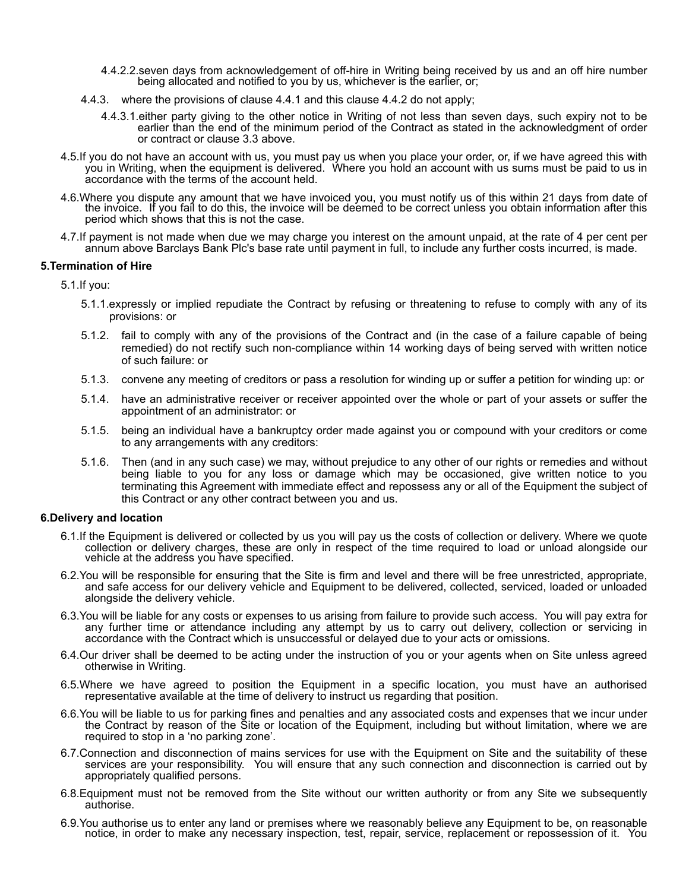- 4.4.2.2.seven days from acknowledgement of off-hire in Writing being received by us and an off hire number being allocated and notified to you by us, whichever is the earlier, or;
- 4.4.3. where the provisions of clause 4.4.1 and this clause 4.4.2 do not apply;
	- 4.4.3.1.either party giving to the other notice in Writing of not less than seven days, such expiry not to be earlier than the end of the minimum period of the Contract as stated in the acknowledgment of order or contract or clause 3.3 above.
- 4.5.If you do not have an account with us, you must pay us when you place your order, or, if we have agreed this with you in Writing, when the equipment is delivered. Where you hold an account with us sums must be paid to us in accordance with the terms of the account held.
- 4.6.Where you dispute any amount that we have invoiced you, you must notify us of this within 21 days from date of the invoice. If you fail to do this, the invoice will be deemed to be correct unless you obtain information after this period which shows that this is not the case.
- 4.7.If payment is not made when due we may charge you interest on the amount unpaid, at the rate of 4 per cent per annum above Barclays Bank Plc's base rate until payment in full, to include any further costs incurred, is made.

#### **5.Termination of Hire**

5.1.If you:

- 5.1.1.expressly or implied repudiate the Contract by refusing or threatening to refuse to comply with any of its provisions: or
- 5.1.2. fail to comply with any of the provisions of the Contract and (in the case of a failure capable of being remedied) do not rectify such non-compliance within 14 working days of being served with written notice of such failure: or
- 5.1.3. convene any meeting of creditors or pass a resolution for winding up or suffer a petition for winding up: or
- 5.1.4. have an administrative receiver or receiver appointed over the whole or part of your assets or suffer the appointment of an administrator: or
- 5.1.5. being an individual have a bankruptcy order made against you or compound with your creditors or come to any arrangements with any creditors:
- 5.1.6. Then (and in any such case) we may, without prejudice to any other of our rights or remedies and without being liable to you for any loss or damage which may be occasioned, give written notice to you terminating this Agreement with immediate effect and repossess any or all of the Equipment the subject of this Contract or any other contract between you and us.

# **6.Delivery and location**

- 6.1.If the Equipment is delivered or collected by us you will pay us the costs of collection or delivery. Where we quote collection or delivery charges, these are only in respect of the time required to load or unload alongside our vehicle at the address you have specified.
- 6.2.You will be responsible for ensuring that the Site is firm and level and there will be free unrestricted, appropriate, and safe access for our delivery vehicle and Equipment to be delivered, collected, serviced, loaded or unloaded alongside the delivery vehicle.
- 6.3.You will be liable for any costs or expenses to us arising from failure to provide such access. You will pay extra for any further time or attendance including any attempt by us to carry out delivery, collection or servicing in accordance with the Contract which is unsuccessful or delayed due to your acts or omissions.
- 6.4.Our driver shall be deemed to be acting under the instruction of you or your agents when on Site unless agreed otherwise in Writing.
- 6.5.Where we have agreed to position the Equipment in a specific location, you must have an authorised representative available at the time of delivery to instruct us regarding that position.
- 6.6.You will be liable to us for parking fines and penalties and any associated costs and expenses that we incur under the Contract by reason of the Site or location of the Equipment, including but without limitation, where we are required to stop in a 'no parking zone'.
- 6.7.Connection and disconnection of mains services for use with the Equipment on Site and the suitability of these services are your responsibility. You will ensure that any such connection and disconnection is carried out by appropriately qualified persons.
- 6.8.Equipment must not be removed from the Site without our written authority or from any Site we subsequently authorise.
- 6.9.You authorise us to enter any land or premises where we reasonably believe any Equipment to be, on reasonable notice, in order to make any necessary inspection, test, repair, service, replacement or repossession of it. You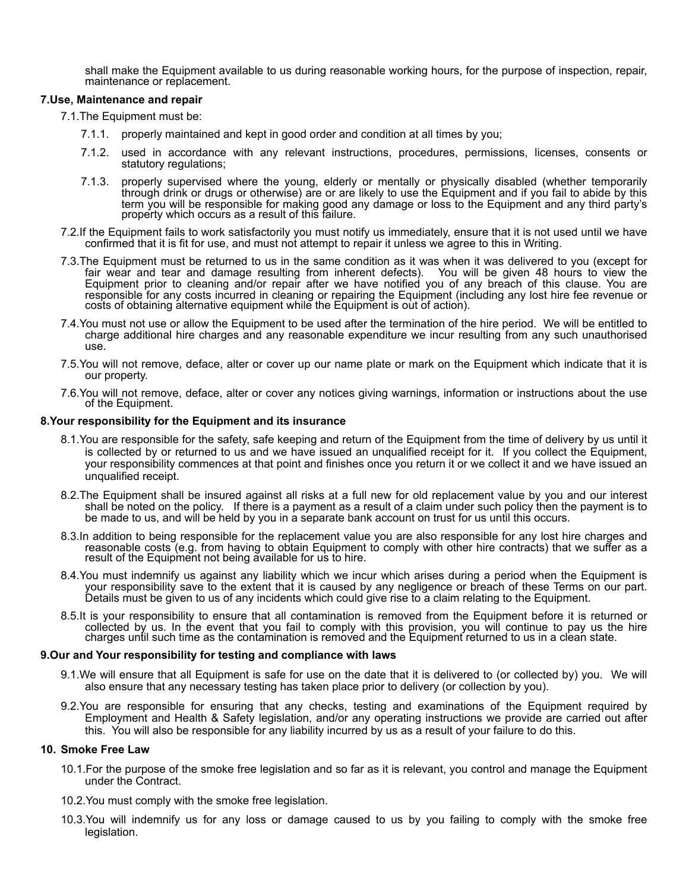shall make the Equipment available to us during reasonable working hours, for the purpose of inspection, repair, maintenance or replacement.

#### **7.Use, Maintenance and repair**

7.1.The Equipment must be:

- 7.1.1. properly maintained and kept in good order and condition at all times by you;
- 7.1.2. used in accordance with any relevant instructions, procedures, permissions, licenses, consents or statutory regulations;
- 7.1.3. properly supervised where the young, elderly or mentally or physically disabled (whether temporarily through drink or drugs or otherwise) are or are likely to use the Equipment and if you fail to abide by this term you will be responsible for making good any damage or loss to the Equipment and any third party's property which occurs as a result of this failure.
- 7.2.If the Equipment fails to work satisfactorily you must notify us immediately, ensure that it is not used until we have confirmed that it is fit for use, and must not attempt to repair it unless we agree to this in Writing.
- 7.3.The Equipment must be returned to us in the same condition as it was when it was delivered to you (except for fair wear and tear and damage resulting from inherent defects). You will be given 48 hours to view the Equipment prior to cleaning and/or repair after we have notified you of any breach of this clause. You are responsible for any costs incurred in cleaning or repairing the Equipment (including any lost hire fee revenue or costs of obtaining alternative equipment while the Equipment is out of action).
- 7.4.You must not use or allow the Equipment to be used after the termination of the hire period. We will be entitled to charge additional hire charges and any reasonable expenditure we incur resulting from any such unauthorised use.
- 7.5.You will not remove, deface, alter or cover up our name plate or mark on the Equipment which indicate that it is our property.
- 7.6.You will not remove, deface, alter or cover any notices giving warnings, information or instructions about the use of the Equipment.

#### **8.Your responsibility for the Equipment and its insurance**

- 8.1.You are responsible for the safety, safe keeping and return of the Equipment from the time of delivery by us until it is collected by or returned to us and we have issued an unqualified receipt for it. If you collect the Equipment, your responsibility commences at that point and finishes once you return it or we collect it and we have issued an unqualified receipt.
- 8.2.The Equipment shall be insured against all risks at a full new for old replacement value by you and our interest shall be noted on the policy. If there is a payment as a result of a claim under such policy then the payment is to be made to us, and will be held by you in a separate bank account on trust for us until this occurs.
- 8.3.In addition to being responsible for the replacement value you are also responsible for any lost hire charges and reasonable costs (e.g. from having to obtain Equipment to comply with other hire contracts) that we suffer as a result of the Equipment not being available for us to hire.
- 8.4.You must indemnify us against any liability which we incur which arises during a period when the Equipment is your responsibility save to the extent that it is caused by any negligence or breach of these Terms on our part. Details must be given to us of any incidents which could give rise to a claim relating to the Equipment.
- 8.5.It is your responsibility to ensure that all contamination is removed from the Equipment before it is returned or collected by us. In the event that you fail to comply with this provision, you will continue to pay us the hire charges until such time as the contamination is removed and the Equipment returned to us in a clean state.

#### **9.Our and Your responsibility for testing and compliance with laws**

- 9.1.We will ensure that all Equipment is safe for use on the date that it is delivered to (or collected by) you. We will also ensure that any necessary testing has taken place prior to delivery (or collection by you).
- 9.2.You are responsible for ensuring that any checks, testing and examinations of the Equipment required by Employment and Health & Safety legislation, and/or any operating instructions we provide are carried out after this. You will also be responsible for any liability incurred by us as a result of your failure to do this.

### **10. Smoke Free Law**

- 10.1.For the purpose of the smoke free legislation and so far as it is relevant, you control and manage the Equipment under the Contract.
- 10.2.You must comply with the smoke free legislation.
- 10.3.You will indemnify us for any loss or damage caused to us by you failing to comply with the smoke free legislation.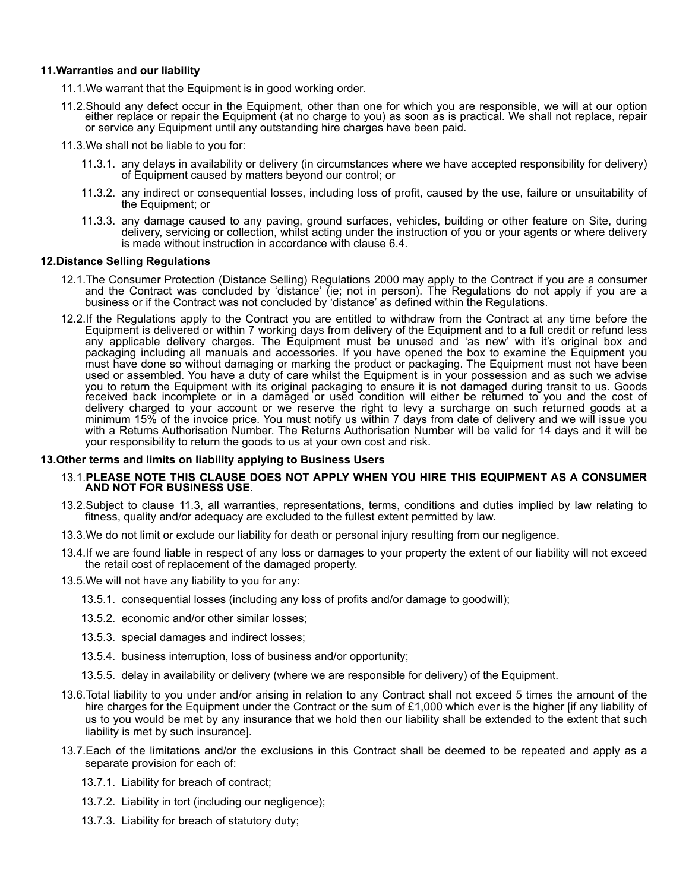#### **11.Warranties and our liability**

11.1.We warrant that the Equipment is in good working order.

- 11.2.Should any defect occur in the Equipment, other than one for which you are responsible, we will at our option either replace or repair the Equipment (at no charge to you) as soon as is practical. We shall not replace, repair or service any Equipment until any outstanding hire charges have been paid.
- 11.3.We shall not be liable to you for:
	- 11.3.1. any delays in availability or delivery (in circumstances where we have accepted responsibility for delivery) of Equipment caused by matters beyond our control; or
	- 11.3.2. any indirect or consequential losses, including loss of profit, caused by the use, failure or unsuitability of the Equipment; or
	- 11.3.3. any damage caused to any paving, ground surfaces, vehicles, building or other feature on Site, during delivery, servicing or collection, whilst acting under the instruction of you or your agents or where delivery is made without instruction in accordance with clause 6.4.

#### **12.Distance Selling Regulations**

- 12.1.The Consumer Protection (Distance Selling) Regulations 2000 may apply to the Contract if you are a consumer and the Contract was concluded by 'distance' (ie; not in person). The Regulations do not apply if you are a business or if the Contract was not concluded by 'distance' as defined within the Regulations.
- 12.2.If the Regulations apply to the Contract you are entitled to withdraw from the Contract at any time before the Equipment is delivered or within 7 working days from delivery of the Equipment and to a full credit or refund less any applicable delivery charges. The Equipment must be unused and 'as new' with it's original box and packaging including all manuals and accessories. If you have opened the box to examine the Equipment you must have done so without damaging or marking the product or packaging. The Equipment must not have been used or assembled. You have a duty of care whilst the Equipment is in your possession and as such we advise you to return the Equipment with its original packaging to ensure it is not damaged during transit to us. Goods received back incomplete or in a damaged or used condition will either be returned to you and the cost of delivery charged to your account or we reserve the right to levy a surcharge on such returned goods at a minimum 15% of the invoice price. You must notify us within 7 days from date of delivery and we will issue you with a Returns Authorisation Number. The Returns Authorisation Number will be valid for 14 days and it will be your responsibility to return the goods to us at your own cost and risk.

#### **13.Other terms and limits on liability applying to Business Users**

#### 13.1.**PLEASE NOTE THIS CLAUSE DOES NOT APPLY WHEN YOU HIRE THIS EQUIPMENT AS A CONSUMER AND NOT FOR BUSINESS USE**.

- 13.2.Subject to clause 11.3, all warranties, representations, terms, conditions and duties implied by law relating to fitness, quality and/or adequacy are excluded to the fullest extent permitted by law.
- 13.3.We do not limit or exclude our liability for death or personal injury resulting from our negligence.
- 13.4.If we are found liable in respect of any loss or damages to your property the extent of our liability will not exceed the retail cost of replacement of the damaged property.
- 13.5.We will not have any liability to you for any:
	- 13.5.1. consequential losses (including any loss of profits and/or damage to goodwill);
	- 13.5.2. economic and/or other similar losses;
	- 13.5.3. special damages and indirect losses;
	- 13.5.4. business interruption, loss of business and/or opportunity;
	- 13.5.5. delay in availability or delivery (where we are responsible for delivery) of the Equipment.
- 13.6.Total liability to you under and/or arising in relation to any Contract shall not exceed 5 times the amount of the hire charges for the Equipment under the Contract or the sum of £1,000 which ever is the higher [if any liability of us to you would be met by any insurance that we hold then our liability shall be extended to the extent that such liability is met by such insurance].
- 13.7.Each of the limitations and/or the exclusions in this Contract shall be deemed to be repeated and apply as a separate provision for each of:
	- 13.7.1. Liability for breach of contract;
	- 13.7.2. Liability in tort (including our negligence);
	- 13.7.3. Liability for breach of statutory duty;